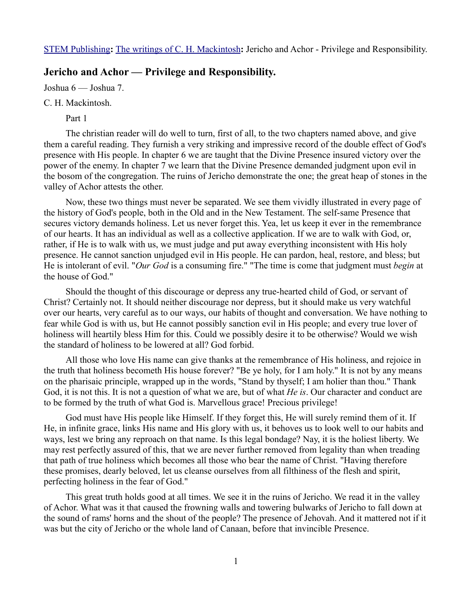[STEM Publishing](http://www.stempublishing.com/)**:** [The writings of C. H. Mackintosh](http://www.stempublishing.com/authors/mackintosh/index.html)**:** Jericho and Achor - Privilege and Responsibility.

# **Jericho and Achor — Privilege and Responsibility.**

Joshua 6 — Joshua 7.

## C. H. Mackintosh.

Part 1

The christian reader will do well to turn, first of all, to the two chapters named above, and give them a careful reading. They furnish a very striking and impressive record of the double effect of God's presence with His people. In chapter 6 we are taught that the Divine Presence insured victory over the power of the enemy. In chapter 7 we learn that the Divine Presence demanded judgment upon evil in the bosom of the congregation. The ruins of Jericho demonstrate the one; the great heap of stones in the valley of Achor attests the other.

Now, these two things must never be separated. We see them vividly illustrated in every page of the history of God's people, both in the Old and in the New Testament. The self-same Presence that secures victory demands holiness. Let us never forget this. Yea, let us keep it ever in the remembrance of our hearts. It has an individual as well as a collective application. If we are to walk with God, or, rather, if He is to walk with us, we must judge and put away everything inconsistent with His holy presence. He cannot sanction unjudged evil in His people. He can pardon, heal, restore, and bless; but He is intolerant of evil. "*Our God* is a consuming fire." "The time is come that judgment must *begin* at the house of God."

Should the thought of this discourage or depress any true-hearted child of God, or servant of Christ? Certainly not. It should neither discourage nor depress, but it should make us very watchful over our hearts, very careful as to our ways, our habits of thought and conversation. We have nothing to fear while God is with us, but He cannot possibly sanction evil in His people; and every true lover of holiness will heartily bless Him for this. Could we possibly desire it to be otherwise? Would we wish the standard of holiness to be lowered at all? God forbid.

All those who love His name can give thanks at the remembrance of His holiness, and rejoice in the truth that holiness becometh His house forever? "Be ye holy, for I am holy." It is not by any means on the pharisaic principle, wrapped up in the words, "Stand by thyself; I am holier than thou." Thank God, it is not this. It is not a question of what we are, but of what *He is*. Our character and conduct are to be formed by the truth of what God is. Marvellous grace! Precious privilege!

God must have His people like Himself. If they forget this, He will surely remind them of it. If He, in infinite grace, links His name and His glory with us, it behoves us to look well to our habits and ways, lest we bring any reproach on that name. Is this legal bondage? Nay, it is the holiest liberty. We may rest perfectly assured of this, that we are never further removed from legality than when treading that path of true holiness which becomes all those who bear the name of Christ. "Having therefore these promises, dearly beloved, let us cleanse ourselves from all filthiness of the flesh and spirit, perfecting holiness in the fear of God."

This great truth holds good at all times. We see it in the ruins of Jericho. We read it in the valley of Achor. What was it that caused the frowning walls and towering bulwarks of Jericho to fall down at the sound of rams' horns and the shout of the people? The presence of Jehovah. And it mattered not if it was but the city of Jericho or the whole land of Canaan, before that invincible Presence.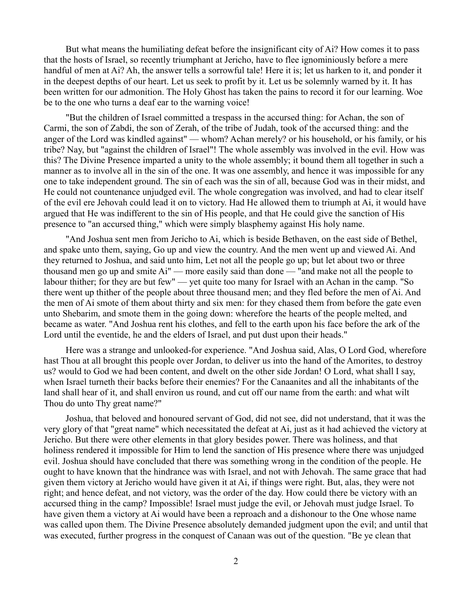But what means the humiliating defeat before the insignificant city of Ai? How comes it to pass that the hosts of Israel, so recently triumphant at Jericho, have to flee ignominiously before a mere handful of men at Ai? Ah, the answer tells a sorrowful tale! Here it is; let us harken to it, and ponder it in the deepest depths of our heart. Let us seek to profit by it. Let us be solemnly warned by it. It has been written for our admonition. The Holy Ghost has taken the pains to record it for our learning. Woe be to the one who turns a deaf ear to the warning voice!

"But the children of Israel committed a trespass in the accursed thing: for Achan, the son of Carmi, the son of Zabdi, the son of Zerah, of the tribe of Judah, took of the accursed thing: and the anger of the Lord was kindled against" — whom? Achan merely? or his household, or his family, or his tribe? Nay, but "against the children of Israel"! The whole assembly was involved in the evil. How was this? The Divine Presence imparted a unity to the whole assembly; it bound them all together in such a manner as to involve all in the sin of the one. It was one assembly, and hence it was impossible for any one to take independent ground. The sin of each was the sin of all, because God was in their midst, and He could not countenance unjudged evil. The whole congregation was involved, and had to clear itself of the evil ere Jehovah could lead it on to victory. Had He allowed them to triumph at Ai, it would have argued that He was indifferent to the sin of His people, and that He could give the sanction of His presence to "an accursed thing," which were simply blasphemy against His holy name.

"And Joshua sent men from Jericho to Ai, which is beside Bethaven, on the east side of Bethel, and spake unto them, saying, Go up and view the country. And the men went up and viewed Ai. And they returned to Joshua, and said unto him, Let not all the people go up; but let about two or three thousand men go up and smite Ai" — more easily said than done — "and make not all the people to labour thither; for they are but few" — yet quite too many for Israel with an Achan in the camp. "So there went up thither of the people about three thousand men; and they fled before the men of Ai. And the men of Ai smote of them about thirty and six men: for they chased them from before the gate even unto Shebarim, and smote them in the going down: wherefore the hearts of the people melted, and became as water. "And Joshua rent his clothes, and fell to the earth upon his face before the ark of the Lord until the eventide, he and the elders of Israel, and put dust upon their heads."

Here was a strange and unlooked-for experience. "And Joshua said, Alas, O Lord God, wherefore hast Thou at all brought this people over Jordan, to deliver us into the hand of the Amorites, to destroy us? would to God we had been content, and dwelt on the other side Jordan! O Lord, what shall I say, when Israel turneth their backs before their enemies? For the Canaanites and all the inhabitants of the land shall hear of it, and shall environ us round, and cut off our name from the earth: and what wilt Thou do unto Thy great name?"

Joshua, that beloved and honoured servant of God, did not see, did not understand, that it was the very glory of that "great name" which necessitated the defeat at Ai, just as it had achieved the victory at Jericho. But there were other elements in that glory besides power. There was holiness, and that holiness rendered it impossible for Him to lend the sanction of His presence where there was unjudged evil. Joshua should have concluded that there was something wrong in the condition of the people. He ought to have known that the hindrance was with Israel, and not with Jehovah. The same grace that had given them victory at Jericho would have given it at Ai, if things were right. But, alas, they were not right; and hence defeat, and not victory, was the order of the day. How could there be victory with an accursed thing in the camp? Impossible! Israel must judge the evil, or Jehovah must judge Israel. To have given them a victory at Ai would have been a reproach and a dishonour to the One whose name was called upon them. The Divine Presence absolutely demanded judgment upon the evil; and until that was executed, further progress in the conquest of Canaan was out of the question. "Be ye clean that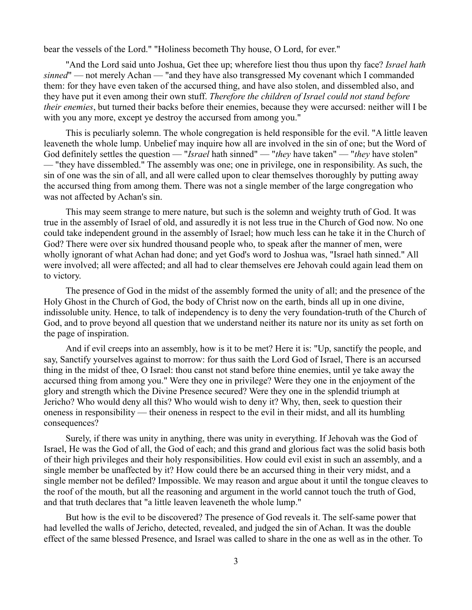bear the vessels of the Lord." "Holiness becometh Thy house, O Lord, for ever."

"And the Lord said unto Joshua, Get thee up; wherefore liest thou thus upon thy face? *Israel hath sinned*" — not merely Achan — "and they have also transgressed My covenant which I commanded them: for they have even taken of the accursed thing, and have also stolen, and dissembled also, and they have put it even among their own stuff. *Therefore the children of Israel could not stand before their enemies*, but turned their backs before their enemies, because they were accursed: neither will I be with you any more, except ye destroy the accursed from among you."

This is peculiarly solemn. The whole congregation is held responsible for the evil. "A little leaven leaveneth the whole lump. Unbelief may inquire how all are involved in the sin of one; but the Word of God definitely settles the question — "*Israel* hath sinned" — "*they* have taken" — "*they* have stolen" — "they have dissembled." The assembly was one; one in privilege, one in responsibility. As such, the sin of one was the sin of all, and all were called upon to clear themselves thoroughly by putting away the accursed thing from among them. There was not a single member of the large congregation who was not affected by Achan's sin.

This may seem strange to mere nature, but such is the solemn and weighty truth of God. It was true in the assembly of Israel of old, and assuredly it is not less true in the Church of God now. No one could take independent ground in the assembly of Israel; how much less can he take it in the Church of God? There were over six hundred thousand people who, to speak after the manner of men, were wholly ignorant of what Achan had done; and yet God's word to Joshua was, "Israel hath sinned." All were involved; all were affected; and all had to clear themselves ere Jehovah could again lead them on to victory.

The presence of God in the midst of the assembly formed the unity of all; and the presence of the Holy Ghost in the Church of God, the body of Christ now on the earth, binds all up in one divine, indissoluble unity. Hence, to talk of independency is to deny the very foundation-truth of the Church of God, and to prove beyond all question that we understand neither its nature nor its unity as set forth on the page of inspiration.

And if evil creeps into an assembly, how is it to be met? Here it is: "Up, sanctify the people, and say, Sanctify yourselves against to morrow: for thus saith the Lord God of Israel, There is an accursed thing in the midst of thee, O Israel: thou canst not stand before thine enemies, until ye take away the accursed thing from among you." Were they one in privilege? Were they one in the enjoyment of the glory and strength which the Divine Presence secured? Were they one in the splendid triumph at Jericho? Who would deny all this? Who would wish to deny it? Why, then, seek to question their oneness in responsibility — their oneness in respect to the evil in their midst, and all its humbling consequences?

Surely, if there was unity in anything, there was unity in everything. If Jehovah was the God of Israel, He was the God of all, the God of each; and this grand and glorious fact was the solid basis both of their high privileges and their holy responsibilities. How could evil exist in such an assembly, and a single member be unaffected by it? How could there be an accursed thing in their very midst, and a single member not be defiled? Impossible. We may reason and argue about it until the tongue cleaves to the roof of the mouth, but all the reasoning and argument in the world cannot touch the truth of God, and that truth declares that "a little leaven leaveneth the whole lump."

But how is the evil to be discovered? The presence of God reveals it. The self-same power that had levelled the walls of Jericho, detected, revealed, and judged the sin of Achan. It was the double effect of the same blessed Presence, and Israel was called to share in the one as well as in the other. To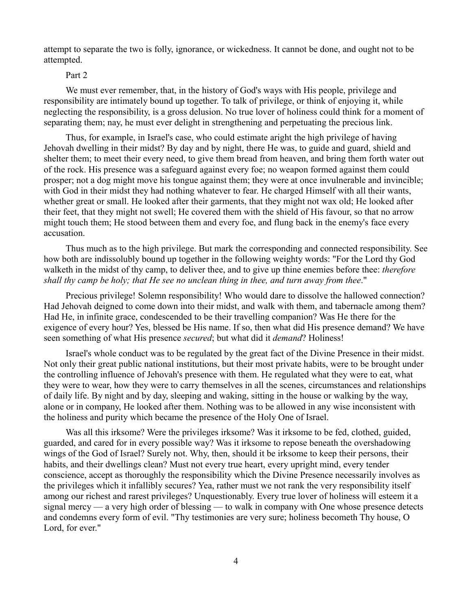attempt to separate the two is folly, ignorance, or wickedness. It cannot be done, and ought not to be attempted.

## Part 2

We must ever remember, that, in the history of God's ways with His people, privilege and responsibility are intimately bound up together. To talk of privilege, or think of enjoying it, while neglecting the responsibility, is a gross delusion. No true lover of holiness could think for a moment of separating them; nay, he must ever delight in strengthening and perpetuating the precious link.

Thus, for example, in Israel's case, who could estimate aright the high privilege of having Jehovah dwelling in their midst? By day and by night, there He was, to guide and guard, shield and shelter them; to meet their every need, to give them bread from heaven, and bring them forth water out of the rock. His presence was a safeguard against every foe; no weapon formed against them could prosper; not a dog might move his tongue against them; they were at once invulnerable and invincible; with God in their midst they had nothing whatever to fear. He charged Himself with all their wants, whether great or small. He looked after their garments, that they might not wax old; He looked after their feet, that they might not swell; He covered them with the shield of His favour, so that no arrow might touch them; He stood between them and every foe, and flung back in the enemy's face every accusation.

Thus much as to the high privilege. But mark the corresponding and connected responsibility. See how both are indissolubly bound up together in the following weighty words: "For the Lord thy God walketh in the midst of thy camp, to deliver thee, and to give up thine enemies before thee: *therefore shall thy camp be holy; that He see no unclean thing in thee, and turn away from thee*."

Precious privilege! Solemn responsibility! Who would dare to dissolve the hallowed connection? Had Jehovah deigned to come down into their midst, and walk with them, and tabernacle among them? Had He, in infinite grace, condescended to be their travelling companion? Was He there for the exigence of every hour? Yes, blessed be His name. If so, then what did His presence demand? We have seen something of what His presence *secured*; but what did it *demand*? Holiness!

Israel's whole conduct was to be regulated by the great fact of the Divine Presence in their midst. Not only their great public national institutions, but their most private habits, were to be brought under the controlling influence of Jehovah's presence with them. He regulated what they were to eat, what they were to wear, how they were to carry themselves in all the scenes, circumstances and relationships of daily life. By night and by day, sleeping and waking, sitting in the house or walking by the way, alone or in company, He looked after them. Nothing was to be allowed in any wise inconsistent with the holiness and purity which became the presence of the Holy One of Israel.

Was all this irksome? Were the privileges irksome? Was it irksome to be fed, clothed, guided, guarded, and cared for in every possible way? Was it irksome to repose beneath the overshadowing wings of the God of Israel? Surely not. Why, then, should it be irksome to keep their persons, their habits, and their dwellings clean? Must not every true heart, every upright mind, every tender conscience, accept as thoroughly the responsibility which the Divine Presence necessarily involves as the privileges which it infallibly secures? Yea, rather must we not rank the very responsibility itself among our richest and rarest privileges? Unquestionably. Every true lover of holiness will esteem it a signal mercy — a very high order of blessing — to walk in company with One whose presence detects and condemns every form of evil. "Thy testimonies are very sure; holiness becometh Thy house, O Lord, for ever."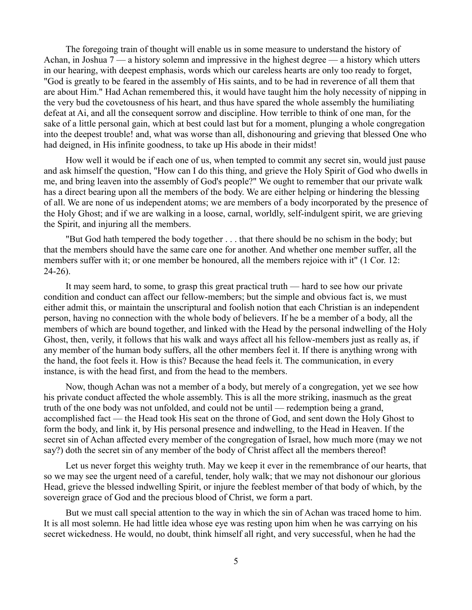The foregoing train of thought will enable us in some measure to understand the history of Achan, in Joshua  $7 - a$  history solemn and impressive in the highest degree  $-a$  history which utters in our hearing, with deepest emphasis, words which our careless hearts are only too ready to forget, "God is greatly to be feared in the assembly of His saints, and to be had in reverence of all them that are about Him." Had Achan remembered this, it would have taught him the holy necessity of nipping in the very bud the covetousness of his heart, and thus have spared the whole assembly the humiliating defeat at Ai, and all the consequent sorrow and discipline. How terrible to think of one man, for the sake of a little personal gain, which at best could last but for a moment, plunging a whole congregation into the deepest trouble! and, what was worse than all, dishonouring and grieving that blessed One who had deigned, in His infinite goodness, to take up His abode in their midst!

How well it would be if each one of us, when tempted to commit any secret sin, would just pause and ask himself the question, "How can I do this thing, and grieve the Holy Spirit of God who dwells in me, and bring leaven into the assembly of God's people?" We ought to remember that our private walk has a direct bearing upon all the members of the body. We are either helping or hindering the blessing of all. We are none of us independent atoms; we are members of a body incorporated by the presence of the Holy Ghost; and if we are walking in a loose, carnal, worldly, self-indulgent spirit, we are grieving the Spirit, and injuring all the members.

"But God hath tempered the body together . . . that there should be no schism in the body; but that the members should have the same care one for another. And whether one member suffer, all the members suffer with it; or one member be honoured, all the members rejoice with it" (1 Cor. 12: 24-26).

It may seem hard, to some, to grasp this great practical truth — hard to see how our private condition and conduct can affect our fellow-members; but the simple and obvious fact is, we must either admit this, or maintain the unscriptural and foolish notion that each Christian is an independent person, having no connection with the whole body of believers. If he be a member of a body, all the members of which are bound together, and linked with the Head by the personal indwelling of the Holy Ghost, then, verily, it follows that his walk and ways affect all his fellow-members just as really as, if any member of the human body suffers, all the other members feel it. If there is anything wrong with the hand, the foot feels it. How is this? Because the head feels it. The communication, in every instance, is with the head first, and from the head to the members.

Now, though Achan was not a member of a body, but merely of a congregation, yet we see how his private conduct affected the whole assembly. This is all the more striking, inasmuch as the great truth of the one body was not unfolded, and could not be until — redemption being a grand, accomplished fact — the Head took His seat on the throne of God, and sent down the Holy Ghost to form the body, and link it, by His personal presence and indwelling, to the Head in Heaven. If the secret sin of Achan affected every member of the congregation of Israel, how much more (may we not say?) doth the secret sin of any member of the body of Christ affect all the members thereof!

Let us never forget this weighty truth. May we keep it ever in the remembrance of our hearts, that so we may see the urgent need of a careful, tender, holy walk; that we may not dishonour our glorious Head, grieve the blessed indwelling Spirit, or injure the feeblest member of that body of which, by the sovereign grace of God and the precious blood of Christ, we form a part.

But we must call special attention to the way in which the sin of Achan was traced home to him. It is all most solemn. He had little idea whose eye was resting upon him when he was carrying on his secret wickedness. He would, no doubt, think himself all right, and very successful, when he had the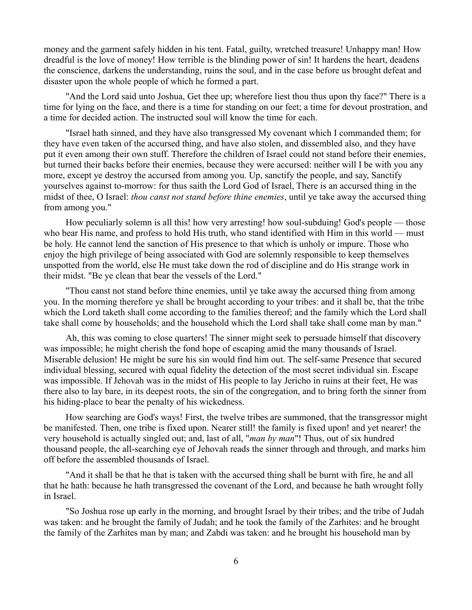money and the garment safely hidden in his tent. Fatal, guilty, wretched treasure! Unhappy man! How dreadful is the love of money! How terrible is the blinding power of sin! It hardens the heart, deadens the conscience, darkens the understanding, ruins the soul, and in the case before us brought defeat and disaster upon the whole people of which he formed a part.

"And the Lord said unto Joshua, Get thee up; wherefore liest thou thus upon thy face?" There is a time for lying on the face, and there is a time for standing on our feet; a time for devout prostration, and a time for decided action. The instructed soul will know the time for each.

"Israel hath sinned, and they have also transgressed My covenant which I commanded them; for they have even taken of the accursed thing, and have also stolen, and dissembled also, and they have put it even among their own stuff. Therefore the children of Israel could not stand before their enemies, but turned their backs before their enemies, because they were accursed: neither will I be with you any more, except ye destroy the accursed from among you. Up, sanctify the people, and say, Sanctify yourselves against to-morrow: for thus saith the Lord God of Israel, There is an accursed thing in the midst of thee, O Israel: *thou canst not stand before thine enemies*, until ye take away the accursed thing from among you."

How peculiarly solemn is all this! how very arresting! how soul-subduing! God's people — those who bear His name, and profess to hold His truth, who stand identified with Him in this world — must be holy. He cannot lend the sanction of His presence to that which is unholy or impure. Those who enjoy the high privilege of being associated with God are solemnly responsible to keep themselves unspotted from the world, else He must take down the rod of discipline and do His strange work in their midst. "Be ye clean that bear the vessels of the Lord."

"Thou canst not stand before thine enemies, until ye take away the accursed thing from among you. In the morning therefore ye shall be brought according to your tribes: and it shall be, that the tribe which the Lord taketh shall come according to the families thereof; and the family which the Lord shall take shall come by households; and the household which the Lord shall take shall come man by man."

Ah, this was coming to close quarters! The sinner might seek to persuade himself that discovery was impossible; he might cherish the fond hope of escaping amid the many thousands of Israel. Miserable delusion! He might be sure his sin would find him out. The self-same Presence that secured individual blessing, secured with equal fidelity the detection of the most secret individual sin. Escape was impossible. If Jehovah was in the midst of His people to lay Jericho in ruins at their feet, He was there also to lay bare, in its deepest roots, the sin of the congregation, and to bring forth the sinner from his hiding-place to bear the penalty of his wickedness.

How searching are God's ways! First, the twelve tribes are summoned, that the transgressor might be manifested. Then, one tribe is fixed upon. Nearer still! the family is fixed upon! and yet nearer! the very household is actually singled out; and, last of all, "*man by man*"! Thus, out of six hundred thousand people, the all-searching eye of Jehovah reads the sinner through and through, and marks him off before the assembled thousands of Israel.

"And it shall be that he that is taken with the accursed thing shall be burnt with fire, he and all that he hath: because he hath transgressed the covenant of the Lord, and because he hath wrought folly in Israel.

"So Joshua rose up early in the morning, and brought Israel by their tribes; and the tribe of Judah was taken: and he brought the family of Judah; and he took the family of the Zarhites: and he brought the family of the Zarhites man by man; and Zabdi was taken: and he brought his household man by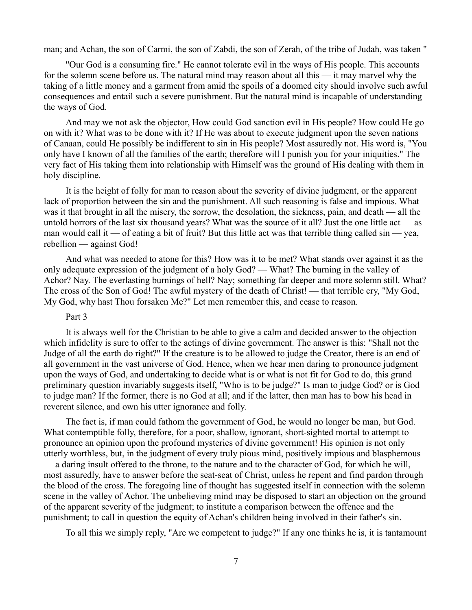man; and Achan, the son of Carmi, the son of Zabdi, the son of Zerah, of the tribe of Judah, was taken "

"Our God is a consuming fire." He cannot tolerate evil in the ways of His people. This accounts for the solemn scene before us. The natural mind may reason about all this — it may marvel why the taking of a little money and a garment from amid the spoils of a doomed city should involve such awful consequences and entail such a severe punishment. But the natural mind is incapable of understanding the ways of God.

And may we not ask the objector, How could God sanction evil in His people? How could He go on with it? What was to be done with it? If He was about to execute judgment upon the seven nations of Canaan, could He possibly be indifferent to sin in His people? Most assuredly not. His word is, "You only have I known of all the families of the earth; therefore will I punish you for your iniquities." The very fact of His taking them into relationship with Himself was the ground of His dealing with them in holy discipline.

It is the height of folly for man to reason about the severity of divine judgment, or the apparent lack of proportion between the sin and the punishment. All such reasoning is false and impious. What was it that brought in all the misery, the sorrow, the desolation, the sickness, pain, and death — all the untold horrors of the last six thousand years? What was the source of it all? Just the one little act — as man would call it — of eating a bit of fruit? But this little act was that terrible thing called  $\sin$  — yea, rebellion — against God!

And what was needed to atone for this? How was it to be met? What stands over against it as the only adequate expression of the judgment of a holy God? — What? The burning in the valley of Achor? Nay. The everlasting burnings of hell? Nay; something far deeper and more solemn still. What? The cross of the Son of God! The awful mystery of the death of Christ! — that terrible cry, "My God, My God, why hast Thou forsaken Me?" Let men remember this, and cease to reason.

#### Part 3

It is always well for the Christian to be able to give a calm and decided answer to the objection which infidelity is sure to offer to the actings of divine government. The answer is this: "Shall not the Judge of all the earth do right?" If the creature is to be allowed to judge the Creator, there is an end of all government in the vast universe of God. Hence, when we hear men daring to pronounce judgment upon the ways of God, and undertaking to decide what is or what is not fit for God to do, this grand preliminary question invariably suggests itself, "Who is to be judge?" Is man to judge God? or is God to judge man? If the former, there is no God at all; and if the latter, then man has to bow his head in reverent silence, and own his utter ignorance and folly.

The fact is, if man could fathom the government of God, he would no longer be man, but God. What contemptible folly, therefore, for a poor, shallow, ignorant, short-sighted mortal to attempt to pronounce an opinion upon the profound mysteries of divine government! His opinion is not only utterly worthless, but, in the judgment of every truly pious mind, positively impious and blasphemous — a daring insult offered to the throne, to the nature and to the character of God, for which he will, most assuredly, have to answer before the seat-seat of Christ, unless he repent and find pardon through the blood of the cross. The foregoing line of thought has suggested itself in connection with the solemn scene in the valley of Achor. The unbelieving mind may be disposed to start an objection on the ground of the apparent severity of the judgment; to institute a comparison between the offence and the punishment; to call in question the equity of Achan's children being involved in their father's sin.

To all this we simply reply, "Are we competent to judge?" If any one thinks he is, it is tantamount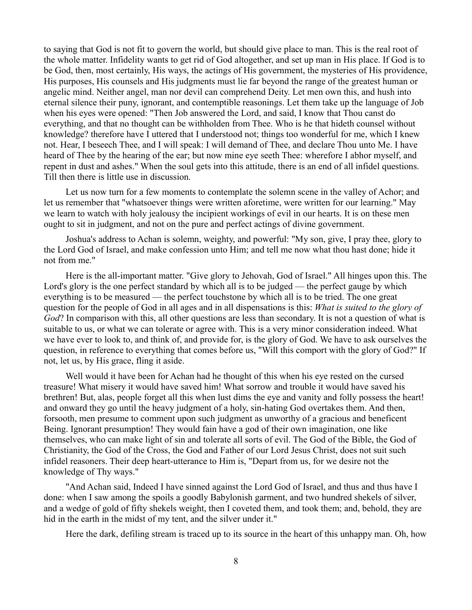to saying that God is not fit to govern the world, but should give place to man. This is the real root of the whole matter. Infidelity wants to get rid of God altogether, and set up man in His place. If God is to be God, then, most certainly, His ways, the actings of His government, the mysteries of His providence, His purposes, His counsels and His judgments must lie far beyond the range of the greatest human or angelic mind. Neither angel, man nor devil can comprehend Deity. Let men own this, and hush into eternal silence their puny, ignorant, and contemptible reasonings. Let them take up the language of Job when his eyes were opened: "Then Job answered the Lord, and said, I know that Thou canst do everything, and that no thought can be withholden from Thee. Who is he that hideth counsel without knowledge? therefore have I uttered that I understood not; things too wonderful for me, which I knew not. Hear, I beseech Thee, and I will speak: I will demand of Thee, and declare Thou unto Me. I have heard of Thee by the hearing of the ear; but now mine eye seeth Thee: wherefore I abhor myself, and repent in dust and ashes." When the soul gets into this attitude, there is an end of all infidel questions. Till then there is little use in discussion.

Let us now turn for a few moments to contemplate the solemn scene in the valley of Achor; and let us remember that "whatsoever things were written aforetime, were written for our learning." May we learn to watch with holy jealousy the incipient workings of evil in our hearts. It is on these men ought to sit in judgment, and not on the pure and perfect actings of divine government.

Joshua's address to Achan is solemn, weighty, and powerful: "My son, give, I pray thee, glory to the Lord God of Israel, and make confession unto Him; and tell me now what thou hast done; hide it not from me."

Here is the all-important matter. "Give glory to Jehovah, God of Israel." All hinges upon this. The Lord's glory is the one perfect standard by which all is to be judged — the perfect gauge by which everything is to be measured — the perfect touchstone by which all is to be tried. The one great question for the people of God in all ages and in all dispensations is this: *What is suited to the glory of God*? In comparison with this, all other questions are less than secondary. It is not a question of what is suitable to us, or what we can tolerate or agree with. This is a very minor consideration indeed. What we have ever to look to, and think of, and provide for, is the glory of God. We have to ask ourselves the question, in reference to everything that comes before us, "Will this comport with the glory of God?" If not, let us, by His grace, fling it aside.

Well would it have been for Achan had he thought of this when his eye rested on the cursed treasure! What misery it would have saved him! What sorrow and trouble it would have saved his brethren! But, alas, people forget all this when lust dims the eye and vanity and folly possess the heart! and onward they go until the heavy judgment of a holy, sin-hating God overtakes them. And then, forsooth, men presume to comment upon such judgment as unworthy of a gracious and beneficent Being. Ignorant presumption! They would fain have a god of their own imagination, one like themselves, who can make light of sin and tolerate all sorts of evil. The God of the Bible, the God of Christianity, the God of the Cross, the God and Father of our Lord Jesus Christ, does not suit such infidel reasoners. Their deep heart-utterance to Him is, "Depart from us, for we desire not the knowledge of Thy ways."

"And Achan said, Indeed I have sinned against the Lord God of Israel, and thus and thus have I done: when I saw among the spoils a goodly Babylonish garment, and two hundred shekels of silver, and a wedge of gold of fifty shekels weight, then I coveted them, and took them; and, behold, they are hid in the earth in the midst of my tent, and the silver under it."

Here the dark, defiling stream is traced up to its source in the heart of this unhappy man. Oh, how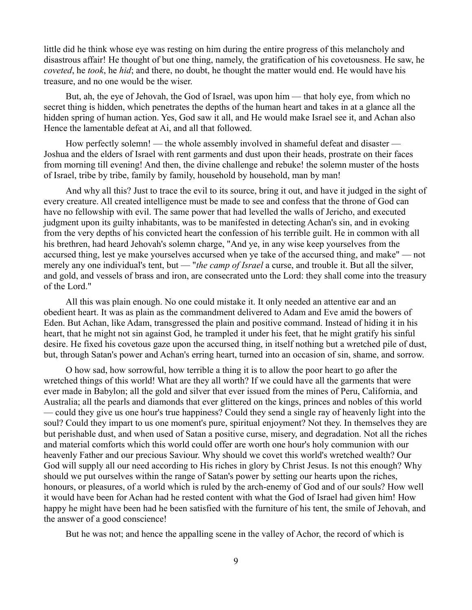little did he think whose eye was resting on him during the entire progress of this melancholy and disastrous affair! He thought of but one thing, namely, the gratification of his covetousness. He saw, he *coveted*, he *took*, he *hid*; and there, no doubt, he thought the matter would end. He would have his treasure, and no one would be the wiser.

But, ah, the eye of Jehovah, the God of Israel, was upon him — that holy eye, from which no secret thing is hidden, which penetrates the depths of the human heart and takes in at a glance all the hidden spring of human action. Yes, God saw it all, and He would make Israel see it, and Achan also Hence the lamentable defeat at Ai, and all that followed.

How perfectly solemn! — the whole assembly involved in shameful defeat and disaster — Joshua and the elders of Israel with rent garments and dust upon their heads, prostrate on their faces from morning till evening! And then, the divine challenge and rebuke! the solemn muster of the hosts of Israel, tribe by tribe, family by family, household by household, man by man!

And why all this? Just to trace the evil to its source, bring it out, and have it judged in the sight of every creature. All created intelligence must be made to see and confess that the throne of God can have no fellowship with evil. The same power that had levelled the walls of Jericho, and executed judgment upon its guilty inhabitants, was to be manifested in detecting Achan's sin, and in evoking from the very depths of his convicted heart the confession of his terrible guilt. He in common with all his brethren, had heard Jehovah's solemn charge, "And ye, in any wise keep yourselves from the accursed thing, lest ye make yourselves accursed when ye take of the accursed thing, and make" — not merely any one individual's tent, but — "*the camp of Israel* a curse, and trouble it. But all the silver, and gold, and vessels of brass and iron, are consecrated unto the Lord: they shall come into the treasury of the Lord."

All this was plain enough. No one could mistake it. It only needed an attentive ear and an obedient heart. It was as plain as the commandment delivered to Adam and Eve amid the bowers of Eden. But Achan, like Adam, transgressed the plain and positive command. Instead of hiding it in his heart, that he might not sin against God, he trampled it under his feet, that he might gratify his sinful desire. He fixed his covetous gaze upon the accursed thing, in itself nothing but a wretched pile of dust, but, through Satan's power and Achan's erring heart, turned into an occasion of sin, shame, and sorrow.

O how sad, how sorrowful, how terrible a thing it is to allow the poor heart to go after the wretched things of this world! What are they all worth? If we could have all the garments that were ever made in Babylon; all the gold and silver that ever issued from the mines of Peru, California, and Australia; all the pearls and diamonds that ever glittered on the kings, princes and nobles of this world — could they give us one hour's true happiness? Could they send a single ray of heavenly light into the soul? Could they impart to us one moment's pure, spiritual enjoyment? Not they. In themselves they are but perishable dust, and when used of Satan a positive curse, misery, and degradation. Not all the riches and material comforts which this world could offer are worth one hour's holy communion with our heavenly Father and our precious Saviour. Why should we covet this world's wretched wealth? Our God will supply all our need according to His riches in glory by Christ Jesus. Is not this enough? Why should we put ourselves within the range of Satan's power by setting our hearts upon the riches, honours, or pleasures, of a world which is ruled by the arch-enemy of God and of our souls? How well it would have been for Achan had he rested content with what the God of Israel had given him! How happy he might have been had he been satisfied with the furniture of his tent, the smile of Jehovah, and the answer of a good conscience!

But he was not; and hence the appalling scene in the valley of Achor, the record of which is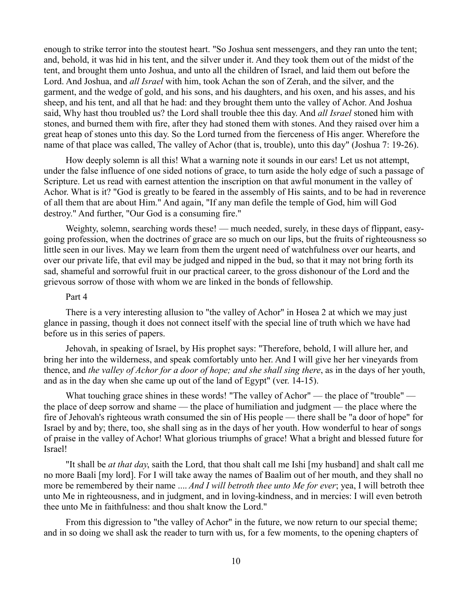enough to strike terror into the stoutest heart. "So Joshua sent messengers, and they ran unto the tent; and, behold, it was hid in his tent, and the silver under it. And they took them out of the midst of the tent, and brought them unto Joshua, and unto all the children of Israel, and laid them out before the Lord. And Joshua, and *all Israel* with him, took Achan the son of Zerah, and the silver, and the garment, and the wedge of gold, and his sons, and his daughters, and his oxen, and his asses, and his sheep, and his tent, and all that he had: and they brought them unto the valley of Achor. And Joshua said, Why hast thou troubled us? the Lord shall trouble thee this day. And *all Israel* stoned him with stones, and burned them with fire, after they had stoned them with stones. And they raised over him a great heap of stones unto this day. So the Lord turned from the fierceness of His anger. Wherefore the name of that place was called, The valley of Achor (that is, trouble), unto this day" (Joshua 7: 19-26).

How deeply solemn is all this! What a warning note it sounds in our ears! Let us not attempt, under the false influence of one sided notions of grace, to turn aside the holy edge of such a passage of Scripture. Let us read with earnest attention the inscription on that awful monument in the valley of Achor. What is it? "God is greatly to be feared in the assembly of His saints, and to be had in reverence of all them that are about Him." And again, "If any man defile the temple of God, him will God destroy." And further, "Our God is a consuming fire."

Weighty, solemn, searching words these! — much needed, surely, in these days of flippant, easygoing profession, when the doctrines of grace are so much on our lips, but the fruits of righteousness so little seen in our lives. May we learn from them the urgent need of watchfulness over our hearts, and over our private life, that evil may be judged and nipped in the bud, so that it may not bring forth its sad, shameful and sorrowful fruit in our practical career, to the gross dishonour of the Lord and the grievous sorrow of those with whom we are linked in the bonds of fellowship.

### Part 4

There is a very interesting allusion to "the valley of Achor" in Hosea 2 at which we may just glance in passing, though it does not connect itself with the special line of truth which we have had before us in this series of papers.

Jehovah, in speaking of Israel, by His prophet says: "Therefore, behold, I will allure her, and bring her into the wilderness, and speak comfortably unto her. And I will give her her vineyards from thence, and *the valley of Achor for a door of hope; and she shall sing there*, as in the days of her youth, and as in the day when she came up out of the land of Egypt" (ver. 14-15).

What touching grace shines in these words! "The valley of Achor" — the place of "trouble" the place of deep sorrow and shame — the place of humiliation and judgment — the place where the fire of Jehovah's righteous wrath consumed the sin of His people — there shall be "a door of hope" for Israel by and by; there, too, she shall sing as in the days of her youth. How wonderful to hear of songs of praise in the valley of Achor! What glorious triumphs of grace! What a bright and blessed future for Israel!

"It shall be *at that day*, saith the Lord, that thou shalt call me Ishi [my husband] and shalt call me no more Baali [my lord]. For I will take away the names of Baalim out of her mouth, and they shall no more be remembered by their name .... *And I will betroth thee unto Me for ever*; yea, I will betroth thee unto Me in righteousness, and in judgment, and in loving-kindness, and in mercies: I will even betroth thee unto Me in faithfulness: and thou shalt know the Lord."

From this digression to "the valley of Achor" in the future, we now return to our special theme; and in so doing we shall ask the reader to turn with us, for a few moments, to the opening chapters of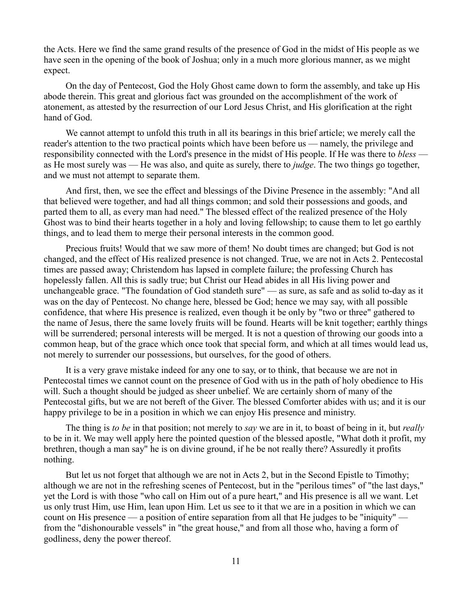the Acts. Here we find the same grand results of the presence of God in the midst of His people as we have seen in the opening of the book of Joshua; only in a much more glorious manner, as we might expect.

On the day of Pentecost, God the Holy Ghost came down to form the assembly, and take up His abode therein. This great and glorious fact was grounded on the accomplishment of the work of atonement, as attested by the resurrection of our Lord Jesus Christ, and His glorification at the right hand of God.

We cannot attempt to unfold this truth in all its bearings in this brief article; we merely call the reader's attention to the two practical points which have been before us — namely, the privilege and responsibility connected with the Lord's presence in the midst of His people. If He was there to *bless* as He most surely was — He was also, and quite as surely, there to *judge*. The two things go together, and we must not attempt to separate them.

And first, then, we see the effect and blessings of the Divine Presence in the assembly: "And all that believed were together, and had all things common; and sold their possessions and goods, and parted them to all, as every man had need." The blessed effect of the realized presence of the Holy Ghost was to bind their hearts together in a holy and loving fellowship; to cause them to let go earthly things, and to lead them to merge their personal interests in the common good.

Precious fruits! Would that we saw more of them! No doubt times are changed; but God is not changed, and the effect of His realized presence is not changed. True, we are not in Acts 2. Pentecostal times are passed away; Christendom has lapsed in complete failure; the professing Church has hopelessly fallen. All this is sadly true; but Christ our Head abides in all His living power and unchangeable grace. "The foundation of God standeth sure" — as sure, as safe and as solid to-day as it was on the day of Pentecost. No change here, blessed be God; hence we may say, with all possible confidence, that where His presence is realized, even though it be only by "two or three" gathered to the name of Jesus, there the same lovely fruits will be found. Hearts will be knit together; earthly things will be surrendered; personal interests will be merged. It is not a question of throwing our goods into a common heap, but of the grace which once took that special form, and which at all times would lead us, not merely to surrender our possessions, but ourselves, for the good of others.

It is a very grave mistake indeed for any one to say, or to think, that because we are not in Pentecostal times we cannot count on the presence of God with us in the path of holy obedience to His will. Such a thought should be judged as sheer unbelief. We are certainly shorn of many of the Pentecostal gifts, but we are not bereft of the Giver. The blessed Comforter abides with us; and it is our happy privilege to be in a position in which we can enjoy His presence and ministry.

The thing is *to be* in that position; not merely to *say* we are in it, to boast of being in it, but *really* to be in it. We may well apply here the pointed question of the blessed apostle, "What doth it profit, my brethren, though a man say" he is on divine ground, if he be not really there? Assuredly it profits nothing.

But let us not forget that although we are not in Acts 2, but in the Second Epistle to Timothy; although we are not in the refreshing scenes of Pentecost, but in the "perilous times" of "the last days," yet the Lord is with those "who call on Him out of a pure heart," and His presence is all we want. Let us only trust Him, use Him, lean upon Him. Let us see to it that we are in a position in which we can count on His presence — a position of entire separation from all that He judges to be "iniquity" from the "dishonourable vessels" in "the great house," and from all those who, having a form of godliness, deny the power thereof.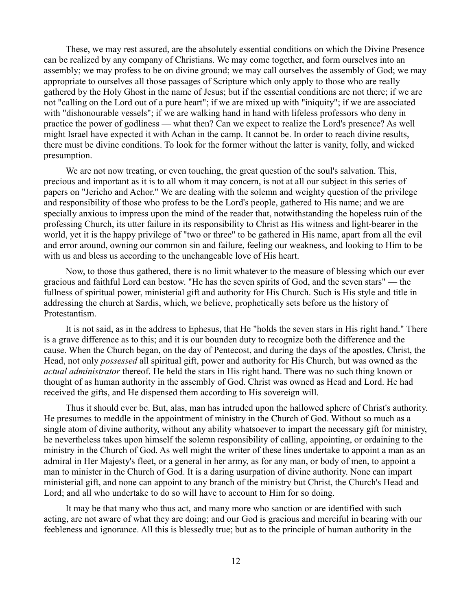These, we may rest assured, are the absolutely essential conditions on which the Divine Presence can be realized by any company of Christians. We may come together, and form ourselves into an assembly; we may profess to be on divine ground; we may call ourselves the assembly of God; we may appropriate to ourselves all those passages of Scripture which only apply to those who are really gathered by the Holy Ghost in the name of Jesus; but if the essential conditions are not there; if we are not "calling on the Lord out of a pure heart"; if we are mixed up with "iniquity"; if we are associated with "dishonourable vessels"; if we are walking hand in hand with lifeless professors who deny in practice the power of godliness — what then? Can we expect to realize the Lord's presence? As well might Israel have expected it with Achan in the camp. It cannot be. In order to reach divine results, there must be divine conditions. To look for the former without the latter is vanity, folly, and wicked presumption.

We are not now treating, or even touching, the great question of the soul's salvation. This, precious and important as it is to all whom it may concern, is not at all our subject in this series of papers on "Jericho and Achor." We are dealing with the solemn and weighty question of the privilege and responsibility of those who profess to be the Lord's people, gathered to His name; and we are specially anxious to impress upon the mind of the reader that, notwithstanding the hopeless ruin of the professing Church, its utter failure in its responsibility to Christ as His witness and light-bearer in the world, yet it is the happy privilege of "two or three" to be gathered in His name, apart from all the evil and error around, owning our common sin and failure, feeling our weakness, and looking to Him to be with us and bless us according to the unchangeable love of His heart.

Now, to those thus gathered, there is no limit whatever to the measure of blessing which our ever gracious and faithful Lord can bestow. "He has the seven spirits of God, and the seven stars" — the fullness of spiritual power, ministerial gift and authority for His Church. Such is His style and title in addressing the church at Sardis, which, we believe, prophetically sets before us the history of Protestantism.

It is not said, as in the address to Ephesus, that He "holds the seven stars in His right hand." There is a grave difference as to this; and it is our bounden duty to recognize both the difference and the cause. When the Church began, on the day of Pentecost, and during the days of the apostles, Christ, the Head, not only *possessed* all spiritual gift, power and authority for His Church, but was owned as the *actual administrator* thereof. He held the stars in His right hand. There was no such thing known or thought of as human authority in the assembly of God. Christ was owned as Head and Lord. He had received the gifts, and He dispensed them according to His sovereign will.

Thus it should ever be. But, alas, man has intruded upon the hallowed sphere of Christ's authority. He presumes to meddle in the appointment of ministry in the Church of God. Without so much as a single atom of divine authority, without any ability whatsoever to impart the necessary gift for ministry, he nevertheless takes upon himself the solemn responsibility of calling, appointing, or ordaining to the ministry in the Church of God. As well might the writer of these lines undertake to appoint a man as an admiral in Her Majesty's fleet, or a general in her army, as for any man, or body of men, to appoint a man to minister in the Church of God. It is a daring usurpation of divine authority. None can impart ministerial gift, and none can appoint to any branch of the ministry but Christ, the Church's Head and Lord; and all who undertake to do so will have to account to Him for so doing.

It may be that many who thus act, and many more who sanction or are identified with such acting, are not aware of what they are doing; and our God is gracious and merciful in bearing with our feebleness and ignorance. All this is blessedly true; but as to the principle of human authority in the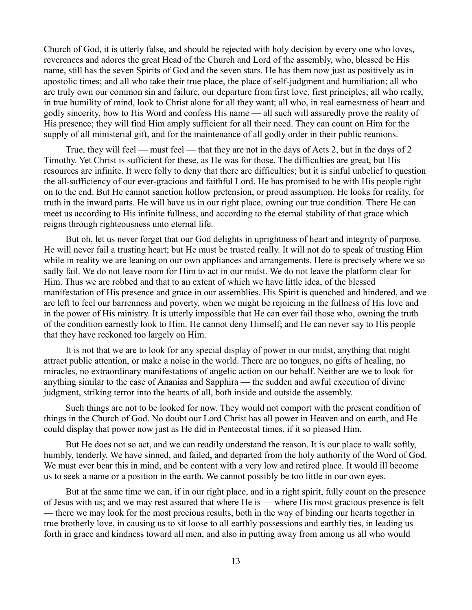Church of God, it is utterly false, and should be rejected with holy decision by every one who loves, reverences and adores the great Head of the Church and Lord of the assembly, who, blessed be His name, still has the seven Spirits of God and the seven stars. He has them now just as positively as in apostolic times; and all who take their true place, the place of self-judgment and humiliation; all who are truly own our common sin and failure, our departure from first love, first principles; all who really, in true humility of mind, look to Christ alone for all they want; all who, in real earnestness of heart and godly sincerity, bow to His Word and confess His name — all such will assuredly prove the reality of His presence; they will find Him amply sufficient for all their need. They can count on Him for the supply of all ministerial gift, and for the maintenance of all godly order in their public reunions.

True, they will feel — must feel — that they are not in the days of Acts 2, but in the days of 2 Timothy. Yet Christ is sufficient for these, as He was for those. The difficulties are great, but His resources are infinite. It were folly to deny that there are difficulties; but it is sinful unbelief to question the all-sufficiency of our ever-gracious and faithful Lord. He has promised to be with His people right on to the end. But He cannot sanction hollow pretension, or proud assumption. He looks for reality, for truth in the inward parts. He will have us in our right place, owning our true condition. There He can meet us according to His infinite fullness, and according to the eternal stability of that grace which reigns through righteousness unto eternal life.

But oh, let us never forget that our God delights in uprightness of heart and integrity of purpose. He will never fail a trusting heart; but He must be trusted really. It will not do to speak of trusting Him while in reality we are leaning on our own appliances and arrangements. Here is precisely where we so sadly fail. We do not leave room for Him to act in our midst. We do not leave the platform clear for Him. Thus we are robbed and that to an extent of which we have little idea, of the blessed manifestation of His presence and grace in our assemblies. His Spirit is quenched and hindered, and we are left to feel our barrenness and poverty, when we might be rejoicing in the fullness of His love and in the power of His ministry. It is utterly impossible that He can ever fail those who, owning the truth of the condition earnestly look to Him. He cannot deny Himself; and He can never say to His people that they have reckoned too largely on Him.

It is not that we are to look for any special display of power in our midst, anything that might attract public attention, or make a noise in the world. There are no tongues, no gifts of healing, no miracles, no extraordinary manifestations of angelic action on our behalf. Neither are we to look for anything similar to the case of Ananias and Sapphira — the sudden and awful execution of divine judgment, striking terror into the hearts of all, both inside and outside the assembly.

Such things are not to be looked for now. They would not comport with the present condition of things in the Church of God. No doubt our Lord Christ has all power in Heaven and on earth, and He could display that power now just as He did in Pentecostal times, if it so pleased Him.

But He does not so act, and we can readily understand the reason. It is our place to walk softly, humbly, tenderly. We have sinned, and failed, and departed from the holy authority of the Word of God. We must ever bear this in mind, and be content with a very low and retired place. It would ill become us to seek a name or a position in the earth. We cannot possibly be too little in our own eyes.

But at the same time we can, if in our right place, and in a right spirit, fully count on the presence of Jesus with us; and we may rest assured that where He is — where His most gracious presence is felt — there we may look for the most precious results, both in the way of binding our hearts together in true brotherly love, in causing us to sit loose to all earthly possessions and earthly ties, in leading us forth in grace and kindness toward all men, and also in putting away from among us all who would